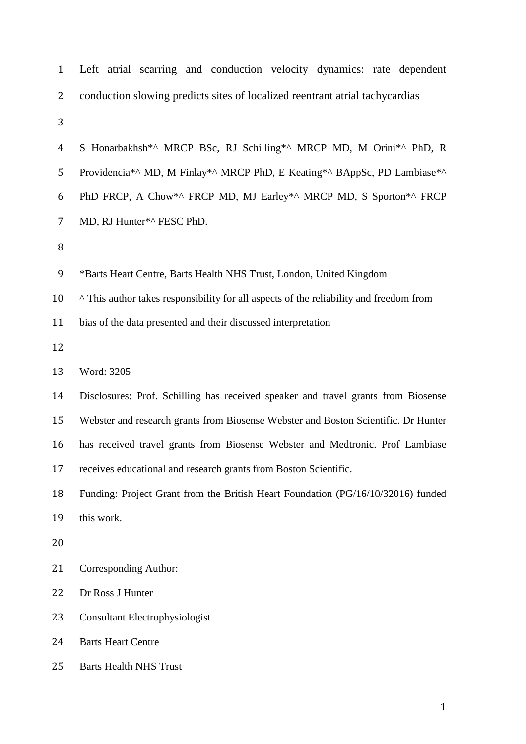| $\mathbf{1}$   | Left atrial scarring and conduction velocity dynamics: rate dependent                  |  |  |  |  |  |  |  |
|----------------|----------------------------------------------------------------------------------------|--|--|--|--|--|--|--|
| 2              | conduction slowing predicts sites of localized reentrant atrial tachycardias           |  |  |  |  |  |  |  |
| 3              |                                                                                        |  |  |  |  |  |  |  |
| $\overline{4}$ | S Honarbakhsh*^ MRCP BSc, RJ Schilling*^ MRCP MD, M Orini*^ PhD, R                     |  |  |  |  |  |  |  |
| 5              | Providencia*^ MD, M Finlay*^ MRCP PhD, E Keating*^ BAppSc, PD Lambiase*^               |  |  |  |  |  |  |  |
| 6              | PhD FRCP, A Chow*^ FRCP MD, MJ Earley*^ MRCP MD, S Sporton*^ FRCP                      |  |  |  |  |  |  |  |
| 7              | MD, RJ Hunter*^ FESC PhD.                                                              |  |  |  |  |  |  |  |
| 8              |                                                                                        |  |  |  |  |  |  |  |
| 9              | *Barts Heart Centre, Barts Health NHS Trust, London, United Kingdom                    |  |  |  |  |  |  |  |
| 10             | ^ This author takes responsibility for all aspects of the reliability and freedom from |  |  |  |  |  |  |  |
| 11             | bias of the data presented and their discussed interpretation                          |  |  |  |  |  |  |  |
| 12             |                                                                                        |  |  |  |  |  |  |  |
| 13             | Word: 3205                                                                             |  |  |  |  |  |  |  |
| 14             | Disclosures: Prof. Schilling has received speaker and travel grants from Biosense      |  |  |  |  |  |  |  |
| 15             | Webster and research grants from Biosense Webster and Boston Scientific. Dr Hunter     |  |  |  |  |  |  |  |
| 16             | has received travel grants from Biosense Webster and Medtronic. Prof Lambiase          |  |  |  |  |  |  |  |
| 17             | receives educational and research grants from Boston Scientific.                       |  |  |  |  |  |  |  |
| 18             | Funding: Project Grant from the British Heart Foundation (PG/16/10/32016) funded       |  |  |  |  |  |  |  |
| 19             | this work.                                                                             |  |  |  |  |  |  |  |
| 20             |                                                                                        |  |  |  |  |  |  |  |
| 21             | Corresponding Author:                                                                  |  |  |  |  |  |  |  |
| 22             | Dr Ross J Hunter                                                                       |  |  |  |  |  |  |  |
| 23             | Consultant Electrophysiologist                                                         |  |  |  |  |  |  |  |
| 24             | <b>Barts Heart Centre</b>                                                              |  |  |  |  |  |  |  |
| 25             | <b>Barts Health NHS Trust</b>                                                          |  |  |  |  |  |  |  |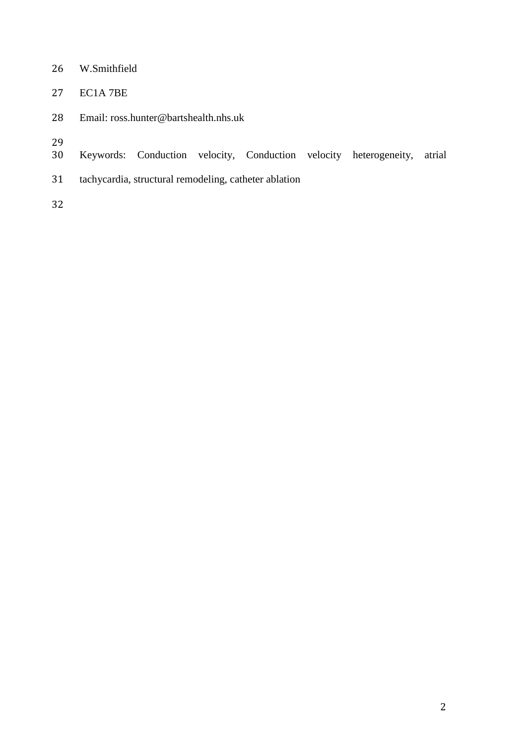- W.Smithfield
- EC1A 7BE
- Email: ross.hunter@bartshealth.nhs.uk
- 
- 29<br>30 Keywords: Conduction velocity, Conduction velocity heterogeneity, atrial
- tachycardia, structural remodeling, catheter ablation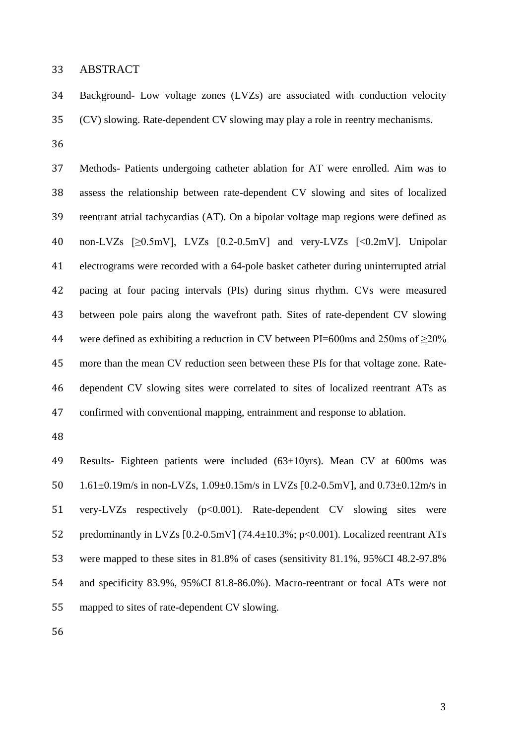ABSTRACT

 Background- Low voltage zones (LVZs) are associated with conduction velocity (CV) slowing. Rate-dependent CV slowing may play a role in reentry mechanisms.

 Methods- Patients undergoing catheter ablation for AT were enrolled. Aim was to assess the relationship between rate-dependent CV slowing and sites of localized reentrant atrial tachycardias (AT). On a bipolar voltage map regions were defined as non-LVZs [≥0.5mV], LVZs [0.2-0.5mV] and very-LVZs [<0.2mV]. Unipolar electrograms were recorded with a 64-pole basket catheter during uninterrupted atrial pacing at four pacing intervals (PIs) during sinus rhythm. CVs were measured between pole pairs along the wavefront path. Sites of rate-dependent CV slowing 44 were defined as exhibiting a reduction in CV between PI=600ms and 250ms of  $\geq$ 20% more than the mean CV reduction seen between these PIs for that voltage zone. Rate- dependent CV slowing sites were correlated to sites of localized reentrant ATs as confirmed with conventional mapping, entrainment and response to ablation.

 Results- Eighteen patients were included (63±10yrs). Mean CV at 600ms was 1.61±0.19m/s in non-LVZs, 1.09±0.15m/s in LVZs [0.2-0.5mV], and 0.73±0.12m/s in very-LVZs respectively (p<0.001). Rate-dependent CV slowing sites were 52 predominantly in LVZs [0.2-0.5mV] (74.4±10.3%; p<0.001). Localized reentrant ATs were mapped to these sites in 81.8% of cases (sensitivity 81.1%, 95%CI 48.2-97.8% and specificity 83.9%, 95%CI 81.8-86.0%). Macro-reentrant or focal ATs were not mapped to sites of rate-dependent CV slowing.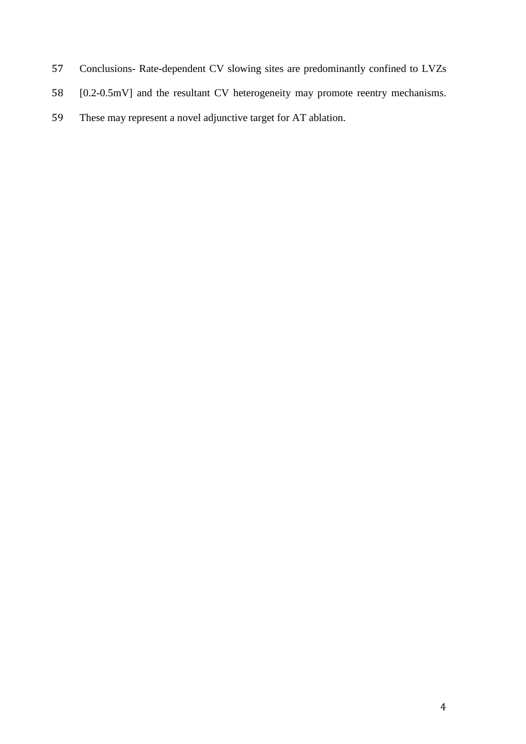- Conclusions- Rate-dependent CV slowing sites are predominantly confined to LVZs
- [0.2-0.5mV] and the resultant CV heterogeneity may promote reentry mechanisms.
- These may represent a novel adjunctive target for AT ablation.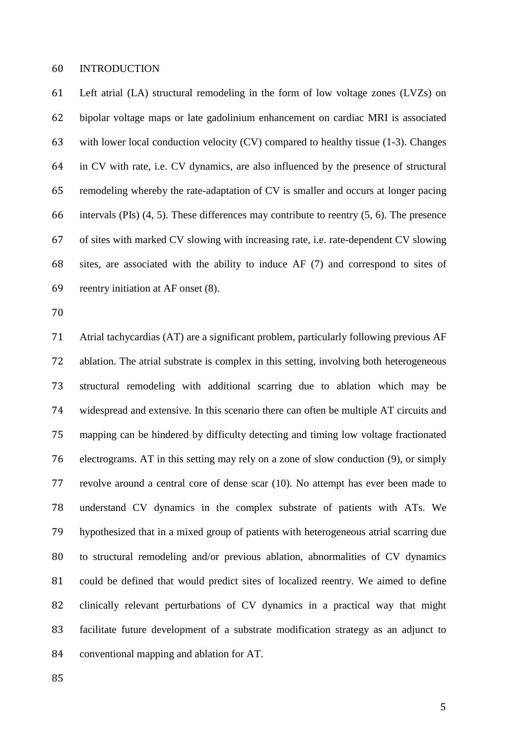#### INTRODUCTION

 Left atrial (LA) structural remodeling in the form of low voltage zones (LVZs) on bipolar voltage maps or late gadolinium enhancement on cardiac MRI is associated with lower local conduction velocity (CV) compared to healthy tissue (1-3). Changes in CV with rate, i.e. CV dynamics, are also influenced by the presence of structural remodeling whereby the rate-adaptation of CV is smaller and occurs at longer pacing intervals (PIs) (4, 5). These differences may contribute to reentry (5, 6). The presence of sites with marked CV slowing with increasing rate, i.e. rate-dependent CV slowing sites, are associated with the ability to induce AF (7) and correspond to sites of reentry initiation at AF onset (8).

 Atrial tachycardias (AT) are a significant problem, particularly following previous AF ablation. The atrial substrate is complex in this setting, involving both heterogeneous structural remodeling with additional scarring due to ablation which may be widespread and extensive. In this scenario there can often be multiple AT circuits and mapping can be hindered by difficulty detecting and timing low voltage fractionated electrograms. AT in this setting may rely on a zone of slow conduction (9), or simply revolve around a central core of dense scar (10). No attempt has ever been made to understand CV dynamics in the complex substrate of patients with ATs. We hypothesized that in a mixed group of patients with heterogeneous atrial scarring due to structural remodeling and/or previous ablation, abnormalities of CV dynamics could be defined that would predict sites of localized reentry. We aimed to define clinically relevant perturbations of CV dynamics in a practical way that might facilitate future development of a substrate modification strategy as an adjunct to conventional mapping and ablation for AT.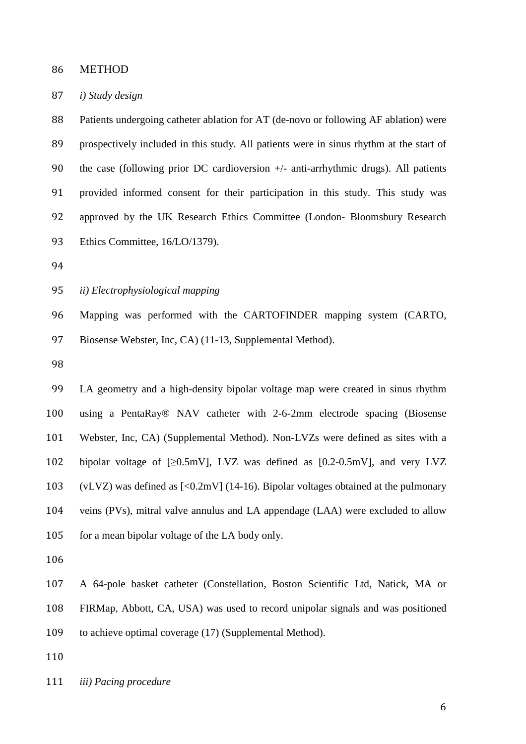METHOD

#### *i) Study design*

88 Patients undergoing catheter ablation for AT (de-novo or following AF ablation) were prospectively included in this study. All patients were in sinus rhythm at the start of 90 the case (following prior DC cardioversion  $+/-$  anti-arrhythmic drugs). All patients provided informed consent for their participation in this study. This study was approved by the UK Research Ethics Committee (London- Bloomsbury Research Ethics Committee, 16/LO/1379).

*ii) Electrophysiological mapping*

 Mapping was performed with the CARTOFINDER mapping system (CARTO, Biosense Webster, Inc, CA) (11-13, Supplemental Method).

 LA geometry and a high-density bipolar voltage map were created in sinus rhythm using a PentaRay® NAV catheter with 2-6-2mm electrode spacing (Biosense Webster, Inc, CA) (Supplemental Method). Non-LVZs were defined as sites with a 102 bipolar voltage of  $[\geq 0.5 \text{mV}]$ , LVZ was defined as  $[0.2-0.5 \text{mV}]$ , and very LVZ 103 (vLVZ) was defined as  $\left[ \langle 0.2 \text{mV} \right]$  (14-16). Bipolar voltages obtained at the pulmonary veins (PVs), mitral valve annulus and LA appendage (LAA) were excluded to allow for a mean bipolar voltage of the LA body only.

A 64-pole basket catheter (Constellation, Boston Scientific Ltd, Natick, MA or

FIRMap, Abbott, CA, USA) was used to record unipolar signals and was positioned

to achieve optimal coverage (17) (Supplemental Method).

*iii) Pacing procedure*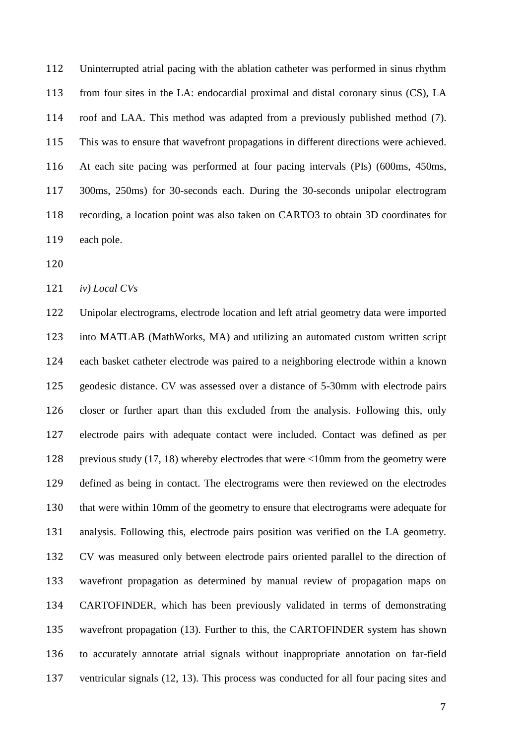Uninterrupted atrial pacing with the ablation catheter was performed in sinus rhythm from four sites in the LA: endocardial proximal and distal coronary sinus (CS), LA roof and LAA. This method was adapted from a previously published method (7). This was to ensure that wavefront propagations in different directions were achieved. At each site pacing was performed at four pacing intervals (PIs) (600ms, 450ms, 300ms, 250ms) for 30-seconds each. During the 30-seconds unipolar electrogram recording, a location point was also taken on CARTO3 to obtain 3D coordinates for each pole.

*iv) Local CVs* 

 Unipolar electrograms, electrode location and left atrial geometry data were imported into MATLAB (MathWorks, MA) and utilizing an automated custom written script each basket catheter electrode was paired to a neighboring electrode within a known geodesic distance. CV was assessed over a distance of 5-30mm with electrode pairs closer or further apart than this excluded from the analysis. Following this, only electrode pairs with adequate contact were included. Contact was defined as per previous study (17, 18) whereby electrodes that were <10mm from the geometry were defined as being in contact. The electrograms were then reviewed on the electrodes that were within 10mm of the geometry to ensure that electrograms were adequate for analysis. Following this, electrode pairs position was verified on the LA geometry. CV was measured only between electrode pairs oriented parallel to the direction of wavefront propagation as determined by manual review of propagation maps on CARTOFINDER, which has been previously validated in terms of demonstrating wavefront propagation (13). Further to this, the CARTOFINDER system has shown to accurately annotate atrial signals without inappropriate annotation on far-field ventricular signals (12, 13). This process was conducted for all four pacing sites and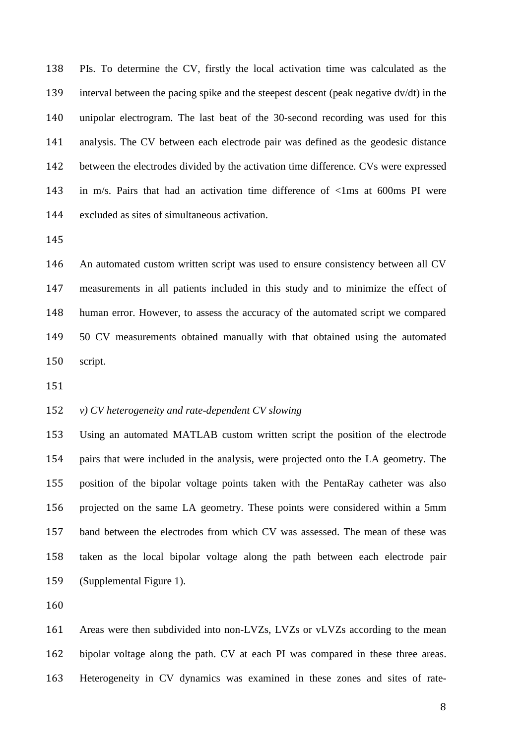PIs. To determine the CV, firstly the local activation time was calculated as the interval between the pacing spike and the steepest descent (peak negative dv/dt) in the unipolar electrogram. The last beat of the 30-second recording was used for this analysis. The CV between each electrode pair was defined as the geodesic distance between the electrodes divided by the activation time difference. CVs were expressed in m/s. Pairs that had an activation time difference of <1ms at 600ms PI were excluded as sites of simultaneous activation.

 An automated custom written script was used to ensure consistency between all CV measurements in all patients included in this study and to minimize the effect of human error. However, to assess the accuracy of the automated script we compared 50 CV measurements obtained manually with that obtained using the automated script.

## *v) CV heterogeneity and rate-dependent CV slowing*

 Using an automated MATLAB custom written script the position of the electrode pairs that were included in the analysis, were projected onto the LA geometry. The position of the bipolar voltage points taken with the PentaRay catheter was also projected on the same LA geometry. These points were considered within a 5mm band between the electrodes from which CV was assessed. The mean of these was taken as the local bipolar voltage along the path between each electrode pair (Supplemental Figure 1).

 Areas were then subdivided into non-LVZs, LVZs or vLVZs according to the mean bipolar voltage along the path. CV at each PI was compared in these three areas. Heterogeneity in CV dynamics was examined in these zones and sites of rate-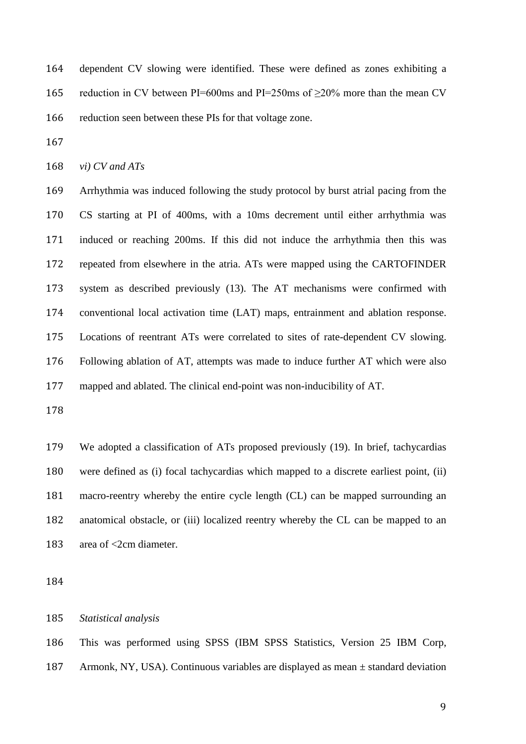dependent CV slowing were identified. These were defined as zones exhibiting a reduction in CV between PI=600ms and PI=250ms of ≥20% more than the mean CV reduction seen between these PIs for that voltage zone.

*vi) CV and ATs* 

 Arrhythmia was induced following the study protocol by burst atrial pacing from the CS starting at PI of 400ms, with a 10ms decrement until either arrhythmia was induced or reaching 200ms. If this did not induce the arrhythmia then this was repeated from elsewhere in the atria. ATs were mapped using the CARTOFINDER system as described previously (13). The AT mechanisms were confirmed with conventional local activation time (LAT) maps, entrainment and ablation response. Locations of reentrant ATs were correlated to sites of rate-dependent CV slowing. Following ablation of AT, attempts was made to induce further AT which were also mapped and ablated. The clinical end-point was non-inducibility of AT.

 We adopted a classification of ATs proposed previously (19). In brief, tachycardias were defined as (i) focal tachycardias which mapped to a discrete earliest point, (ii) macro-reentry whereby the entire cycle length (CL) can be mapped surrounding an anatomical obstacle, or (iii) localized reentry whereby the CL can be mapped to an 183 area of <2cm diameter.

*Statistical analysis*

 This was performed using SPSS (IBM SPSS Statistics, Version 25 IBM Corp, Armonk, NY, USA). Continuous variables are displayed as mean ± standard deviation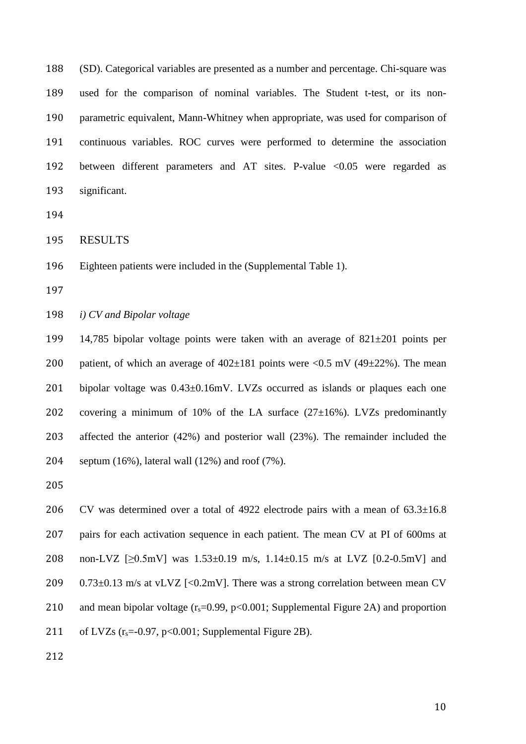(SD). Categorical variables are presented as a number and percentage. Chi-square was used for the comparison of nominal variables. The Student t-test, or its non- parametric equivalent, Mann-Whitney when appropriate, was used for comparison of continuous variables. ROC curves were performed to determine the association between different parameters and AT sites. P-value <0.05 were regarded as significant.

RESULTS

Eighteen patients were included in the (Supplemental Table 1).

#### *i) CV and Bipolar voltage*

 14,785 bipolar voltage points were taken with an average of 821±201 points per 200 patient, of which an average of  $402\pm181$  points were  $\langle 0.5 \text{ mV} (49\pm22\%)$ . The mean bipolar voltage was 0.43±0.16mV. LVZs occurred as islands or plaques each one 202 covering a minimum of 10% of the LA surface  $(27\pm16)$ %. LVZs predominantly affected the anterior (42%) and posterior wall (23%). The remainder included the 204 septum  $(16\%)$ , lateral wall  $(12\%)$  and roof  $(7\%)$ .

 CV was determined over a total of 4922 electrode pairs with a mean of 63.3±16.8 pairs for each activation sequence in each patient. The mean CV at PI of 600ms at non-LVZ [≥0.5mV] was 1.53±0.19 m/s, 1.14±0.15 m/s at LVZ [0.2-0.5mV] and 209 0.73 $\pm$ 0.13 m/s at vLVZ [<0.2mV]. There was a strong correlation between mean CV 210 and mean bipolar voltage  $(r_s=0.99, p<0.001;$  Supplemental Figure 2A) and proportion 211 of LVZs  $(r_s=0.97, p<0.001;$  Supplemental Figure 2B).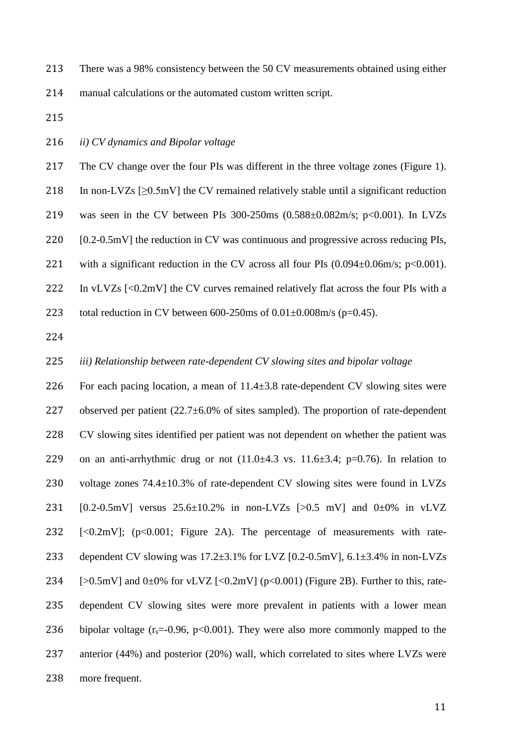213 There was a 98% consistency between the 50 CV measurements obtained using either 214 manual calculations or the automated custom written script.

- 215
- 216 *ii) CV dynamics and Bipolar voltage*

217 The CV change over the four PIs was different in the three voltage zones (Figure 1).

218 In non-LVZs  $[\geq 0.5 \text{mV}]$  the CV remained relatively stable until a significant reduction

219 was seen in the CV between PIs 300-250ms (0.588±0.082m/s; p<0.001). In LVZs

220 [0.2-0.5mV] the reduction in CV was continuous and progressive across reducing PIs,

221 with a significant reduction in the CV across all four PIs  $(0.094 \pm 0.06 \text{m/s}; \text{p} < 0.001)$ .

222 In vLVZs [<0.2mV] the CV curves remained relatively flat across the four PIs with a

223 total reduction in CV between  $600-250$ ms of  $0.01\pm0.008$ m/s (p=0.45).

224

#### 225 *iii) Relationship between rate-dependent CV slowing sites and bipolar voltage*

226 For each pacing location, a mean of 11.4±3.8 rate-dependent CV slowing sites were 227 observed per patient  $(22.7\pm6.0\%$  of sites sampled). The proportion of rate-dependent 228 CV slowing sites identified per patient was not dependent on whether the patient was 229 on an anti-arrhythmic drug or not  $(11.0\pm4.3 \text{ vs. } 11.6\pm3.4; \text{ p} = 0.76)$ . In relation to 230 voltage zones 74.4±10.3% of rate-dependent CV slowing sites were found in LVZs 231 [0.2-0.5mV] versus  $25.6\pm10.2\%$  in non-LVZs [>0.5 mV] and 0 $\pm$ 0% in vLVZ 232 [<0.2mV]; (p<0.001; Figure 2A). The percentage of measurements with rate-233 dependent CV slowing was  $17.2\pm3.1\%$  for LVZ [0.2-0.5mV],  $6.1\pm3.4\%$  in non-LVZs 234 [ $>0.5$ mV] and  $0\pm0\%$  for vLVZ [<0.2mV] ( $p<0.001$ ) (Figure 2B). Further to this, rate-235 dependent CV slowing sites were more prevalent in patients with a lower mean 236 bipolar voltage  $(r_s=0.96, p<0.001)$ . They were also more commonly mapped to the 237 anterior (44%) and posterior (20%) wall, which correlated to sites where LVZs were 238 more frequent.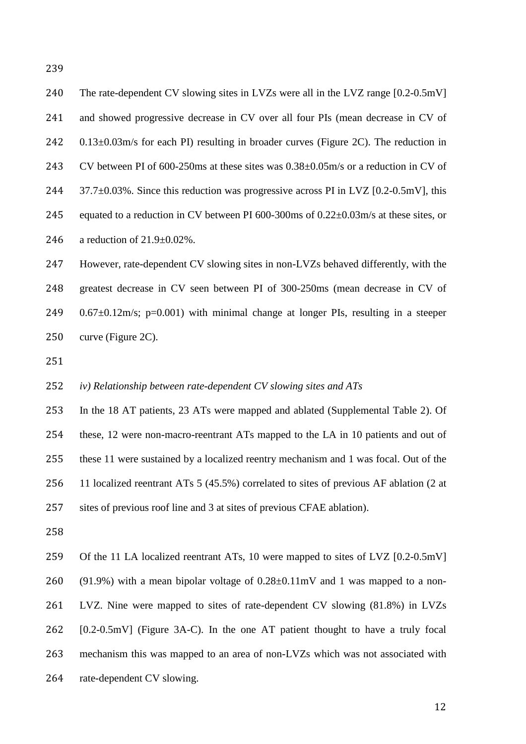| 240 | The rate-dependent CV slowing sites in LVZs were all in the LVZ range [0.2-0.5mV]           |
|-----|---------------------------------------------------------------------------------------------|
| 241 | and showed progressive decrease in CV over all four PIs (mean decrease in CV of             |
| 242 | $0.13\pm0.03$ m/s for each PI) resulting in broader curves (Figure 2C). The reduction in    |
| 243 | CV between PI of 600-250ms at these sites was $0.38\pm0.05$ m/s or a reduction in CV of     |
| 244 | $37.7\pm0.03\%$ . Since this reduction was progressive across PI in LVZ [0.2-0.5mV], this   |
| 245 | equated to a reduction in CV between PI 600-300ms of $0.22 \pm 0.03$ m/s at these sites, or |
| 246 | a reduction of $21.9 \pm 0.02\%$ .                                                          |
| 247 | However, rate-dependent CV slowing sites in non-LVZs behaved differently, with the          |
| 248 | greatest decrease in CV seen between PI of 300-250ms (mean decrease in CV of                |

- 249  $0.67\pm0.12$  m/s; p=0.001) with minimal change at longer PIs, resulting in a steeper curve (Figure 2C).
- 

### *iv) Relationship between rate-dependent CV slowing sites and ATs*

 In the 18 AT patients, 23 ATs were mapped and ablated (Supplemental Table 2). Of these, 12 were non-macro-reentrant ATs mapped to the LA in 10 patients and out of these 11 were sustained by a localized reentry mechanism and 1 was focal. Out of the 11 localized reentrant ATs 5 (45.5%) correlated to sites of previous AF ablation (2 at sites of previous roof line and 3 at sites of previous CFAE ablation).

Of the 11 LA localized reentrant ATs, 10 were mapped to sites of LVZ [0.2-0.5mV]

(91.9%) with a mean bipolar voltage of 0.28±0.11mV and 1 was mapped to a non-

LVZ. Nine were mapped to sites of rate-dependent CV slowing (81.8%) in LVZs

[0.2-0.5mV] (Figure 3A-C). In the one AT patient thought to have a truly focal

- mechanism this was mapped to an area of non-LVZs which was not associated with
- rate-dependent CV slowing.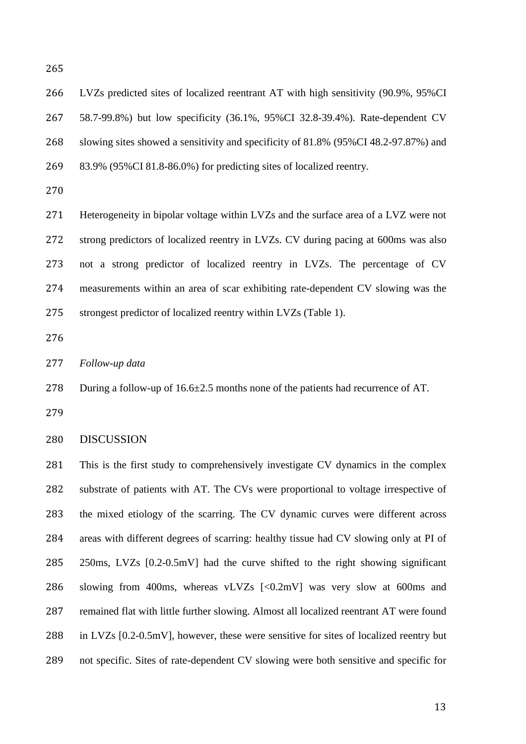LVZs predicted sites of localized reentrant AT with high sensitivity (90.9%, 95%CI 58.7-99.8%) but low specificity (36.1%, 95%CI 32.8-39.4%). Rate-dependent CV slowing sites showed a sensitivity and specificity of 81.8% (95%CI 48.2-97.87%) and 83.9% (95%CI 81.8-86.0%) for predicting sites of localized reentry. Heterogeneity in bipolar voltage within LVZs and the surface area of a LVZ were not

 strong predictors of localized reentry in LVZs. CV during pacing at 600ms was also not a strong predictor of localized reentry in LVZs. The percentage of CV measurements within an area of scar exhibiting rate-dependent CV slowing was the strongest predictor of localized reentry within LVZs (Table 1).

*Follow-up data*

During a follow-up of 16.6±2.5 months none of the patients had recurrence of AT.

#### DISCUSSION

 This is the first study to comprehensively investigate CV dynamics in the complex substrate of patients with AT. The CVs were proportional to voltage irrespective of the mixed etiology of the scarring. The CV dynamic curves were different across areas with different degrees of scarring: healthy tissue had CV slowing only at PI of 250ms, LVZs [0.2-0.5mV] had the curve shifted to the right showing significant slowing from 400ms, whereas vLVZs [<0.2mV] was very slow at 600ms and remained flat with little further slowing. Almost all localized reentrant AT were found in LVZs [0.2-0.5mV], however, these were sensitive for sites of localized reentry but not specific. Sites of rate-dependent CV slowing were both sensitive and specific for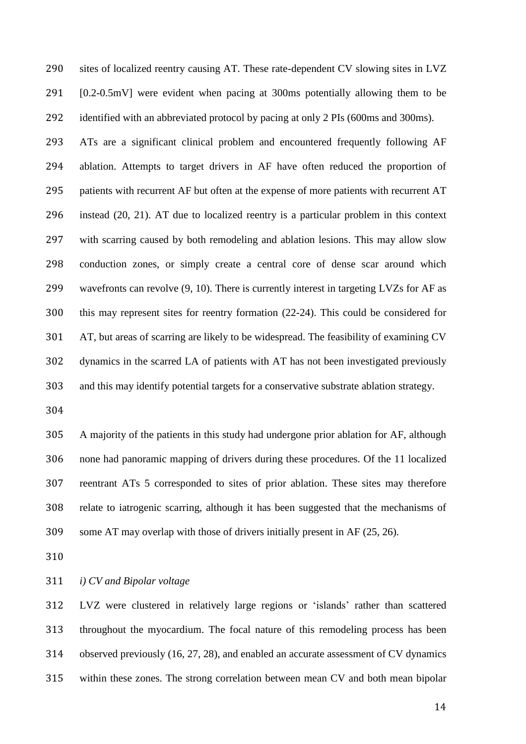sites of localized reentry causing AT. These rate-dependent CV slowing sites in LVZ [0.2-0.5mV] were evident when pacing at 300ms potentially allowing them to be identified with an abbreviated protocol by pacing at only 2 PIs (600ms and 300ms). ATs are a significant clinical problem and encountered frequently following AF ablation. Attempts to target drivers in AF have often reduced the proportion of patients with recurrent AF but often at the expense of more patients with recurrent AT instead (20, 21). AT due to localized reentry is a particular problem in this context with scarring caused by both remodeling and ablation lesions. This may allow slow conduction zones, or simply create a central core of dense scar around which wavefronts can revolve (9, 10). There is currently interest in targeting LVZs for AF as this may represent sites for reentry formation (22-24). This could be considered for AT, but areas of scarring are likely to be widespread. The feasibility of examining CV dynamics in the scarred LA of patients with AT has not been investigated previously and this may identify potential targets for a conservative substrate ablation strategy.

 A majority of the patients in this study had undergone prior ablation for AF, although none had panoramic mapping of drivers during these procedures. Of the 11 localized reentrant ATs 5 corresponded to sites of prior ablation. These sites may therefore relate to iatrogenic scarring, although it has been suggested that the mechanisms of some AT may overlap with those of drivers initially present in AF (25, 26).

*i) CV and Bipolar voltage* 

 LVZ were clustered in relatively large regions or 'islands' rather than scattered throughout the myocardium. The focal nature of this remodeling process has been observed previously (16, 27, 28), and enabled an accurate assessment of CV dynamics within these zones. The strong correlation between mean CV and both mean bipolar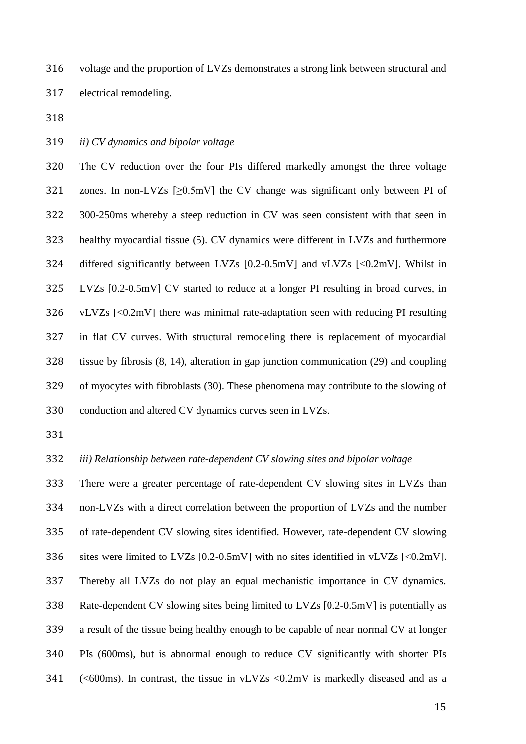voltage and the proportion of LVZs demonstrates a strong link between structural and electrical remodeling.

- 
- *ii) CV dynamics and bipolar voltage*

 The CV reduction over the four PIs differed markedly amongst the three voltage zones. In non-LVZs [≥0.5mV] the CV change was significant only between PI of 300-250ms whereby a steep reduction in CV was seen consistent with that seen in healthy myocardial tissue (5). CV dynamics were different in LVZs and furthermore differed significantly between LVZs [0.2-0.5mV] and vLVZs [<0.2mV]. Whilst in LVZs [0.2-0.5mV] CV started to reduce at a longer PI resulting in broad curves, in vLVZs [<0.2mV] there was minimal rate-adaptation seen with reducing PI resulting in flat CV curves. With structural remodeling there is replacement of myocardial tissue by fibrosis (8, 14), alteration in gap junction communication (29) and coupling of myocytes with fibroblasts (30). These phenomena may contribute to the slowing of conduction and altered CV dynamics curves seen in LVZs.

*iii) Relationship between rate-dependent CV slowing sites and bipolar voltage*

 There were a greater percentage of rate-dependent CV slowing sites in LVZs than non-LVZs with a direct correlation between the proportion of LVZs and the number of rate-dependent CV slowing sites identified. However, rate-dependent CV slowing 336 sites were limited to LVZs [0.2-0.5mV] with no sites identified in vLVZs [<0.2mV]. Thereby all LVZs do not play an equal mechanistic importance in CV dynamics. Rate-dependent CV slowing sites being limited to LVZs [0.2-0.5mV] is potentially as a result of the tissue being healthy enough to be capable of near normal CV at longer PIs (600ms), but is abnormal enough to reduce CV significantly with shorter PIs 341 ( $\leq 600$ ms). In contrast, the tissue in vLVZs  $\leq 0.2$ mV is markedly diseased and as a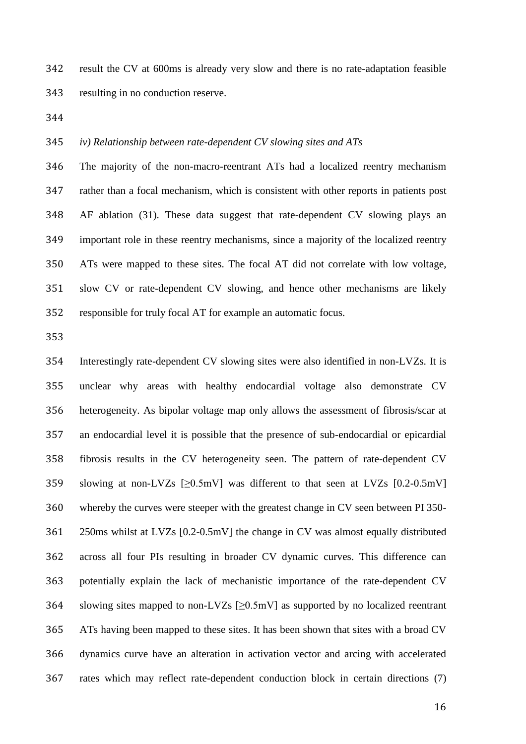result the CV at 600ms is already very slow and there is no rate-adaptation feasible resulting in no conduction reserve.

*iv) Relationship between rate-dependent CV slowing sites and ATs*

 The majority of the non-macro-reentrant ATs had a localized reentry mechanism rather than a focal mechanism, which is consistent with other reports in patients post AF ablation (31). These data suggest that rate-dependent CV slowing plays an important role in these reentry mechanisms, since a majority of the localized reentry ATs were mapped to these sites. The focal AT did not correlate with low voltage, slow CV or rate-dependent CV slowing, and hence other mechanisms are likely responsible for truly focal AT for example an automatic focus.

 Interestingly rate-dependent CV slowing sites were also identified in non-LVZs. It is unclear why areas with healthy endocardial voltage also demonstrate CV heterogeneity. As bipolar voltage map only allows the assessment of fibrosis/scar at an endocardial level it is possible that the presence of sub-endocardial or epicardial fibrosis results in the CV heterogeneity seen. The pattern of rate-dependent CV 359 slowing at non-LVZs  $[20.5 \text{mV}]$  was different to that seen at LVZs  $[0.2 - 0.5 \text{mV}]$  whereby the curves were steeper with the greatest change in CV seen between PI 350- 250ms whilst at LVZs [0.2-0.5mV] the change in CV was almost equally distributed across all four PIs resulting in broader CV dynamic curves. This difference can potentially explain the lack of mechanistic importance of the rate-dependent CV 364 slowing sites mapped to non-LVZs  $[\geq 0.5 \text{mV}]$  as supported by no localized reentrant ATs having been mapped to these sites. It has been shown that sites with a broad CV dynamics curve have an alteration in activation vector and arcing with accelerated rates which may reflect rate-dependent conduction block in certain directions (7)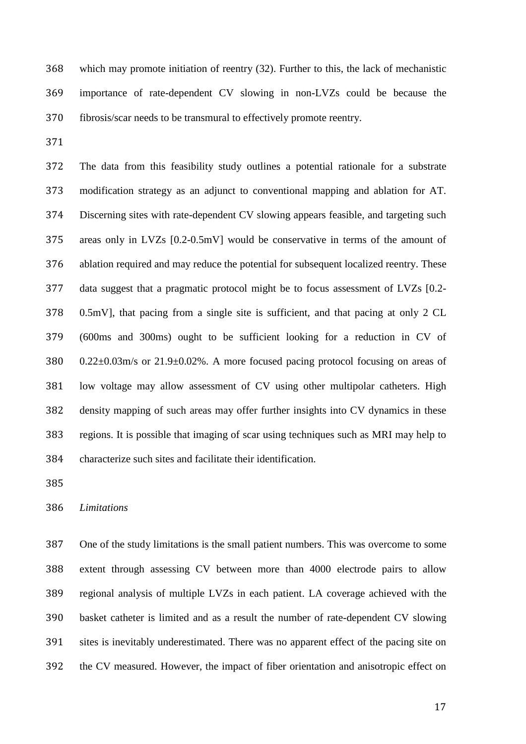which may promote initiation of reentry (32). Further to this, the lack of mechanistic importance of rate-dependent CV slowing in non-LVZs could be because the fibrosis/scar needs to be transmural to effectively promote reentry.

 The data from this feasibility study outlines a potential rationale for a substrate modification strategy as an adjunct to conventional mapping and ablation for AT. Discerning sites with rate-dependent CV slowing appears feasible, and targeting such areas only in LVZs [0.2-0.5mV] would be conservative in terms of the amount of ablation required and may reduce the potential for subsequent localized reentry. These data suggest that a pragmatic protocol might be to focus assessment of LVZs [0.2- 0.5mV], that pacing from a single site is sufficient, and that pacing at only 2 CL (600ms and 300ms) ought to be sufficient looking for a reduction in CV of 0.22±0.03m/s or 21.9±0.02%. A more focused pacing protocol focusing on areas of low voltage may allow assessment of CV using other multipolar catheters. High density mapping of such areas may offer further insights into CV dynamics in these regions. It is possible that imaging of scar using techniques such as MRI may help to characterize such sites and facilitate their identification.

#### *Limitations*

 One of the study limitations is the small patient numbers. This was overcome to some extent through assessing CV between more than 4000 electrode pairs to allow regional analysis of multiple LVZs in each patient. LA coverage achieved with the basket catheter is limited and as a result the number of rate-dependent CV slowing sites is inevitably underestimated. There was no apparent effect of the pacing site on the CV measured. However, the impact of fiber orientation and anisotropic effect on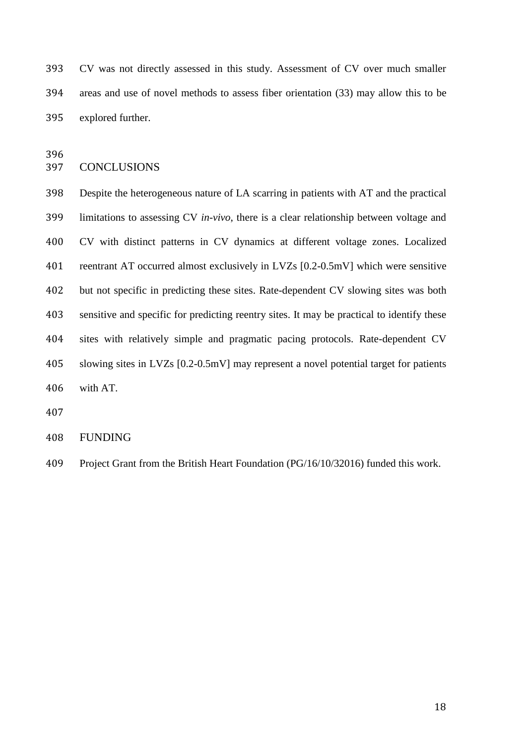CV was not directly assessed in this study. Assessment of CV over much smaller areas and use of novel methods to assess fiber orientation (33) may allow this to be explored further.

#### CONCLUSIONS

 Despite the heterogeneous nature of LA scarring in patients with AT and the practical limitations to assessing CV *in-vivo*, there is a clear relationship between voltage and CV with distinct patterns in CV dynamics at different voltage zones. Localized reentrant AT occurred almost exclusively in LVZs [0.2-0.5mV] which were sensitive but not specific in predicting these sites. Rate-dependent CV slowing sites was both sensitive and specific for predicting reentry sites. It may be practical to identify these sites with relatively simple and pragmatic pacing protocols. Rate-dependent CV slowing sites in LVZs [0.2-0.5mV] may represent a novel potential target for patients with AT.

## FUNDING

Project Grant from the British Heart Foundation (PG/16/10/32016) funded this work.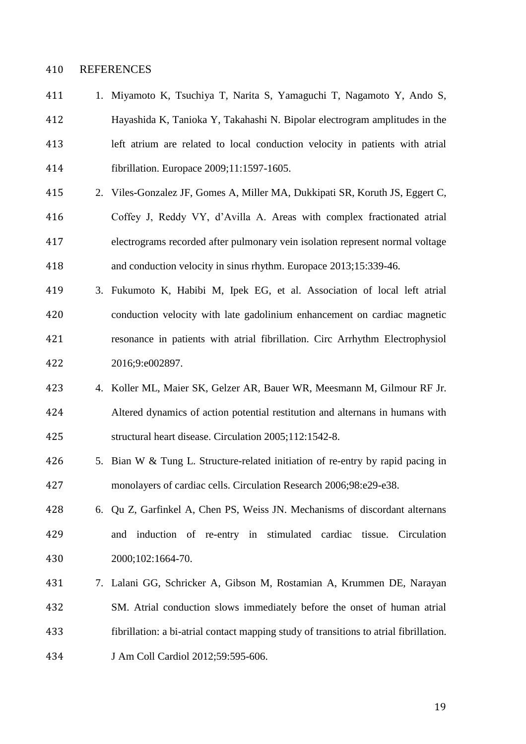#### REFERENCES

- 1. Miyamoto K, Tsuchiya T, Narita S, Yamaguchi T, Nagamoto Y, Ando S, Hayashida K, Tanioka Y, Takahashi N. Bipolar electrogram amplitudes in the left atrium are related to local conduction velocity in patients with atrial fibrillation. Europace 2009;11:1597-1605.
- 2. Viles-Gonzalez JF, Gomes A, Miller MA, Dukkipati SR, Koruth JS, Eggert C, Coffey J, Reddy VY, d'Avilla A. Areas with complex fractionated atrial electrograms recorded after pulmonary vein isolation represent normal voltage and conduction velocity in sinus rhythm. Europace 2013;15:339-46.
- 3. Fukumoto K, Habibi M, Ipek EG, et al. Association of local left atrial conduction velocity with late gadolinium enhancement on cardiac magnetic resonance in patients with atrial fibrillation. Circ Arrhythm Electrophysiol 2016;9:e002897.
- 4. Koller ML, Maier SK, Gelzer AR, Bauer WR, Meesmann M, Gilmour RF Jr. Altered dynamics of action potential restitution and alternans in humans with structural heart disease. Circulation 2005;112:1542-8.
- 5. Bian W & Tung L. Structure-related initiation of re-entry by rapid pacing in monolayers of cardiac cells. Circulation Research 2006;98:e29-e38.
- 6. Qu Z, Garfinkel A, Chen PS, Weiss JN. Mechanisms of discordant alternans and induction of re-entry in stimulated cardiac tissue. Circulation 2000;102:1664-70.
- 7. Lalani GG, Schricker A, Gibson M, Rostamian A, Krummen DE, Narayan SM. Atrial conduction slows immediately before the onset of human atrial fibrillation: a bi-atrial contact mapping study of transitions to atrial fibrillation. J Am Coll Cardiol 2012;59:595-606.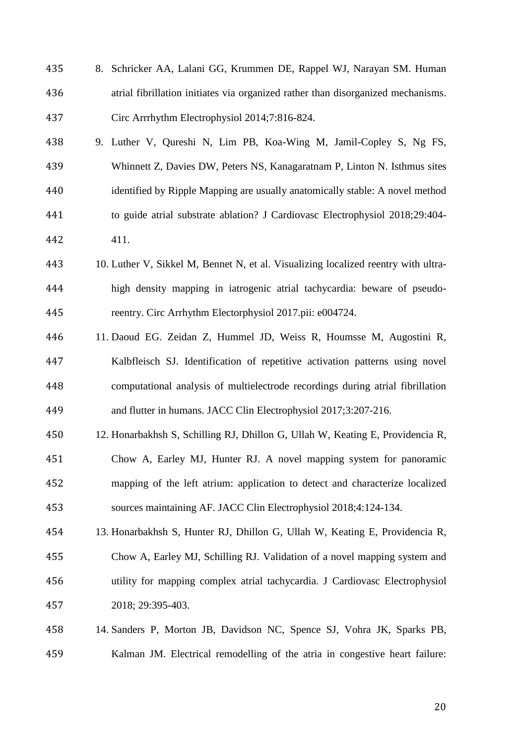- 8. Schricker AA, Lalani GG, Krummen DE, Rappel WJ, Narayan SM. Human atrial fibrillation initiates via organized rather than disorganized mechanisms. Circ Arrrhythm Electrophysiol 2014;7:816-824.
- 9. Luther V, Qureshi N, Lim PB, Koa-Wing M, Jamil-Copley S, Ng FS, Whinnett Z, Davies DW, Peters NS, Kanagaratnam P, Linton N. Isthmus sites identified by Ripple Mapping are usually anatomically stable: A novel method to guide atrial substrate ablation? J Cardiovasc Electrophysiol 2018;29:404- 411.
- 10. Luther V, Sikkel M, Bennet N, et al. Visualizing localized reentry with ultra- high density mapping in iatrogenic atrial tachycardia: beware of pseudo-reentry. Circ Arrhythm Electorphysiol 2017.pii: e004724.
- 11. Daoud EG. Zeidan Z, Hummel JD, Weiss R, Houmsse M, Augostini R, Kalbfleisch SJ. Identification of repetitive activation patterns using novel computational analysis of multielectrode recordings during atrial fibrillation and flutter in humans. JACC Clin Electrophysiol 2017;3:207-216.
- 12. Honarbakhsh S, Schilling RJ, Dhillon G, Ullah W, Keating E, Providencia R, Chow A, Earley MJ, Hunter RJ. A novel mapping system for panoramic mapping of the left atrium: application to detect and characterize localized sources maintaining AF. JACC Clin Electrophysiol 2018;4:124-134.
- 13. Honarbakhsh S, Hunter RJ, Dhillon G, Ullah W, Keating E, Providencia R, Chow A, Earley MJ, Schilling RJ. Validation of a novel mapping system and utility for mapping complex atrial tachycardia. J Cardiovasc Electrophysiol 2018; 29:395-403.
- 14. Sanders P, Morton JB, Davidson NC, Spence SJ, Vohra JK, Sparks PB, Kalman JM. Electrical remodelling of the atria in congestive heart failure: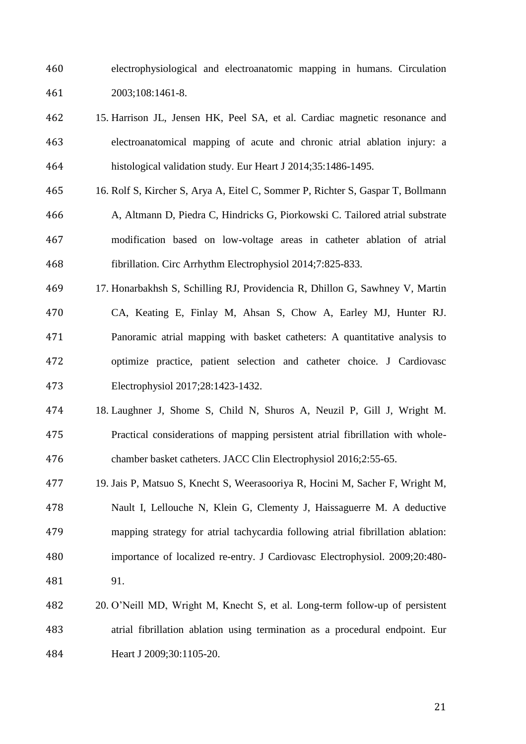electrophysiological and electroanatomic mapping in humans. Circulation 2003;108:1461-8.

- 15. Harrison JL, Jensen HK, Peel SA, et al. Cardiac magnetic resonance and electroanatomical mapping of acute and chronic atrial ablation injury: a histological validation study. Eur Heart J 2014;35:1486-1495.
- 16. Rolf S, Kircher S, Arya A, Eitel C, Sommer P, Richter S, Gaspar T, Bollmann A, Altmann D, Piedra C, Hindricks G, Piorkowski C. Tailored atrial substrate modification based on low-voltage areas in catheter ablation of atrial fibrillation. Circ Arrhythm Electrophysiol 2014;7:825-833.
- 17. Honarbakhsh S, Schilling RJ, Providencia R, Dhillon G, Sawhney V, Martin CA, Keating E, Finlay M, Ahsan S, Chow A, Earley MJ, Hunter RJ. Panoramic atrial mapping with basket catheters: A quantitative analysis to optimize practice, patient selection and catheter choice. J Cardiovasc Electrophysiol 2017;28:1423-1432.
- 18. Laughner J, Shome S, Child N, Shuros A, Neuzil P, Gill J, Wright M. Practical considerations of mapping persistent atrial fibrillation with whole-chamber basket catheters. JACC Clin Electrophysiol 2016;2:55-65.
- 19. Jais P, Matsuo S, Knecht S, Weerasooriya R, Hocini M, Sacher F, Wright M, Nault I, Lellouche N, Klein G, Clementy J, Haissaguerre M. A deductive mapping strategy for atrial tachycardia following atrial fibrillation ablation: importance of localized re-entry. J Cardiovasc Electrophysiol. 2009;20:480- 91.
- 20. O'Neill MD, Wright M, Knecht S, et al. Long-term follow-up of persistent atrial fibrillation ablation using termination as a procedural endpoint. Eur **Heart J** 2009;30:1105-20.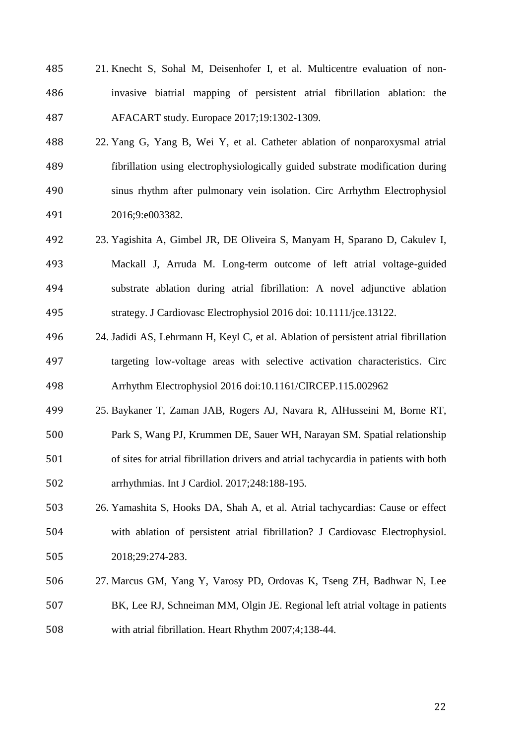- 21. Knecht S, Sohal M, Deisenhofer I, et al. Multicentre evaluation of non- invasive biatrial mapping of persistent atrial fibrillation ablation: the AFACART study. Europace 2017;19:1302-1309.
- 22. Yang G, Yang B, Wei Y, et al. Catheter ablation of nonparoxysmal atrial fibrillation using electrophysiologically guided substrate modification during sinus rhythm after pulmonary vein isolation. Circ Arrhythm Electrophysiol 2016;9:e003382.
- 23. Yagishita A, Gimbel JR, DE Oliveira S, Manyam H, Sparano D, Cakulev I, Mackall J, Arruda M. Long-term outcome of left atrial voltage-guided substrate ablation during atrial fibrillation: A novel adjunctive ablation strategy. J Cardiovasc Electrophysiol 2016 doi: 10.1111/jce.13122.
- 24. Jadidi AS, Lehrmann H, Keyl C, et al. Ablation of persistent atrial fibrillation targeting low-voltage areas with selective activation characteristics. Circ Arrhythm Electrophysiol 2016 doi:10.1161/CIRCEP.115.002962
- 25. Baykaner T, Zaman JAB, Rogers AJ, Navara R, AlHusseini M, Borne RT, Park S, Wang PJ, Krummen DE, Sauer WH, Narayan SM. Spatial relationship of sites for atrial fibrillation drivers and atrial tachycardia in patients with both arrhythmias. Int J Cardiol. 2017;248:188-195.
- 26. Yamashita S, Hooks DA, Shah A, et al. Atrial tachycardias: Cause or effect with ablation of persistent atrial fibrillation? J Cardiovasc Electrophysiol. 2018;29:274-283.
- 27. Marcus GM, Yang Y, Varosy PD, Ordovas K, Tseng ZH, Badhwar N, Lee BK, Lee RJ, Schneiman MM, Olgin JE. Regional left atrial voltage in patients with atrial fibrillation. Heart Rhythm 2007;4;138-44.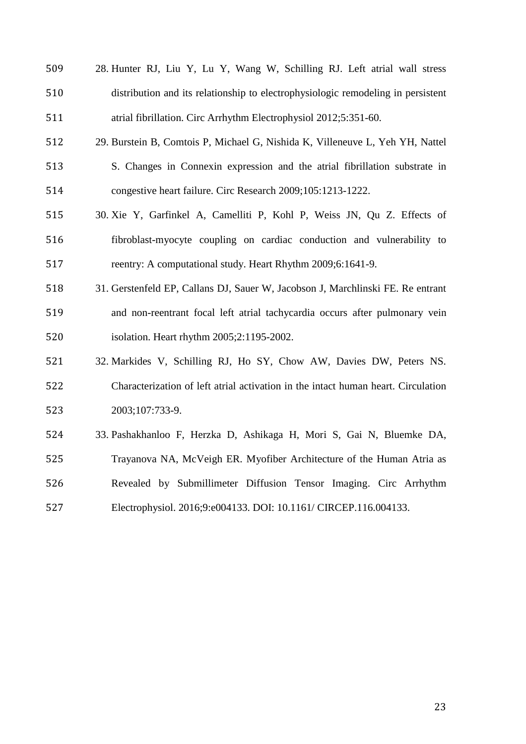- 28. Hunter RJ, Liu Y, Lu Y, Wang W, Schilling RJ. Left atrial wall stress distribution and its relationship to electrophysiologic remodeling in persistent atrial fibrillation. Circ Arrhythm Electrophysiol 2012;5:351-60.
- 29. Burstein B, Comtois P, Michael G, Nishida K, Villeneuve L, Yeh YH, Nattel S. Changes in Connexin expression and the atrial fibrillation substrate in congestive heart failure. Circ Research 2009;105:1213-1222.
- 30. Xie Y, Garfinkel A, Camelliti P, Kohl P, Weiss JN, Qu Z. Effects of fibroblast-myocyte coupling on cardiac conduction and vulnerability to reentry: A computational study. Heart Rhythm 2009;6:1641-9.
- 31. Gerstenfeld EP, Callans DJ, Sauer W, Jacobson J, Marchlinski FE. Re entrant and non-reentrant focal left atrial tachycardia occurs after pulmonary vein isolation. Heart rhythm 2005;2:1195-2002.
- 32. Markides V, Schilling RJ, Ho SY, Chow AW, Davies DW, Peters NS. Characterization of left atrial activation in the intact human heart. Circulation 2003;107:733-9.
- 33. Pashakhanloo F, Herzka D, Ashikaga H, Mori S, Gai N, Bluemke DA, Trayanova NA, McVeigh ER. Myofiber Architecture of the Human Atria as Revealed by Submillimeter Diffusion Tensor Imaging. Circ Arrhythm Electrophysiol. 2016;9:e004133. DOI: 10.1161/ CIRCEP.116.004133.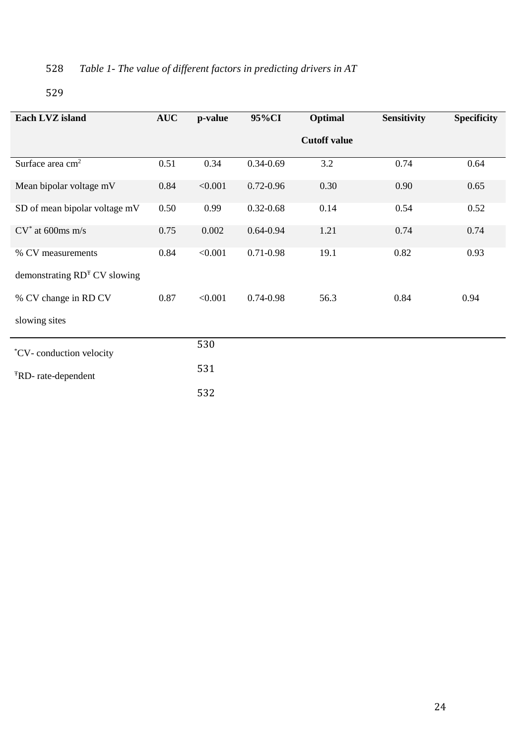# 528 *Table 1- The value of different factors in predicting drivers in AT*

| Each LVZ island                 | <b>AUC</b> | p-value | 95%CI         | Optimal             | <b>Sensitivity</b> | <b>Specificity</b> |
|---------------------------------|------------|---------|---------------|---------------------|--------------------|--------------------|
|                                 |            |         |               | <b>Cutoff value</b> |                    |                    |
| Surface area cm <sup>2</sup>    | 0.51       | 0.34    | $0.34 - 0.69$ | 3.2                 | 0.74               | 0.64               |
| Mean bipolar voltage mV         | 0.84       | < 0.001 | $0.72 - 0.96$ | 0.30                | 0.90               | 0.65               |
| SD of mean bipolar voltage mV   | 0.50       | 0.99    | $0.32 - 0.68$ | 0.14                | 0.54               | 0.52               |
| $CV^*$ at 600ms m/s             | 0.75       | 0.002   | $0.64 - 0.94$ | 1.21                | 0.74               | 0.74               |
| % CV measurements               | 0.84       | < 0.001 | 0.71-0.98     | 19.1                | 0.82               | 0.93               |
| demonstrating $RDT CV$ slowing  |            |         |               |                     |                    |                    |
| % CV change in RD CV            | 0.87       | < 0.001 | 0.74-0.98     | 56.3                | 0.84               | 0.94               |
| slowing sites                   |            |         |               |                     |                    |                    |
| <i>*CV</i> -conduction velocity |            | 530     |               |                     |                    |                    |
| <sup>T</sup> RD-rate-dependent  |            | 531     |               |                     |                    |                    |
|                                 |            | 532     |               |                     |                    |                    |